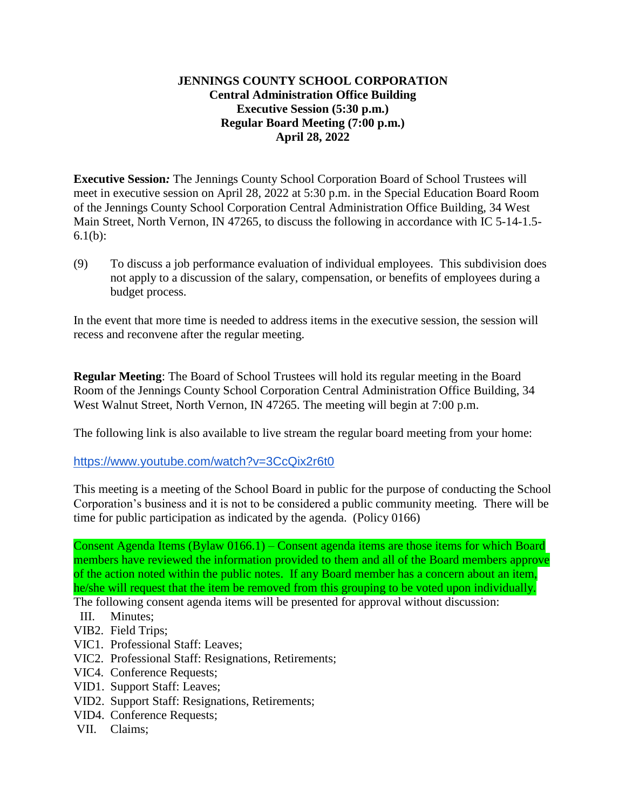## **JENNINGS COUNTY SCHOOL CORPORATION Central Administration Office Building Executive Session (5:30 p.m.) Regular Board Meeting (7:00 p.m.) April 28, 2022**

**Executive Session***:* The Jennings County School Corporation Board of School Trustees will meet in executive session on April 28, 2022 at 5:30 p.m. in the Special Education Board Room of the Jennings County School Corporation Central Administration Office Building, 34 West Main Street, North Vernon, IN 47265, to discuss the following in accordance with IC 5-14-1.5- 6.1(b):

(9) To discuss a job performance evaluation of individual employees. This subdivision does not apply to a discussion of the salary, compensation, or benefits of employees during a budget process.

In the event that more time is needed to address items in the executive session, the session will recess and reconvene after the regular meeting.

**Regular Meeting**: The Board of School Trustees will hold its regular meeting in the Board Room of the Jennings County School Corporation Central Administration Office Building, 34 West Walnut Street, North Vernon, IN 47265. The meeting will begin at 7:00 p.m.

The following link is also available to live stream the regular board meeting from your home:

<https://www.youtube.com/watch?v=3CcQix2r6t0>

This meeting is a meeting of the School Board in public for the purpose of conducting the School Corporation's business and it is not to be considered a public community meeting. There will be time for public participation as indicated by the agenda. (Policy 0166)

Consent Agenda Items (Bylaw 0166.1) – Consent agenda items are those items for which Board members have reviewed the information provided to them and all of the Board members approve of the action noted within the public notes. If any Board member has a concern about an item, he/she will request that the item be removed from this grouping to be voted upon individually.

The following consent agenda items will be presented for approval without discussion:

- III. Minutes;
- VIB2. Field Trips;
- VIC1. Professional Staff: Leaves;
- VIC2. Professional Staff: Resignations, Retirements;
- VIC4. Conference Requests;
- VID1. Support Staff: Leaves;
- VID2. Support Staff: Resignations, Retirements;
- VID4. Conference Requests;
- VII. Claims;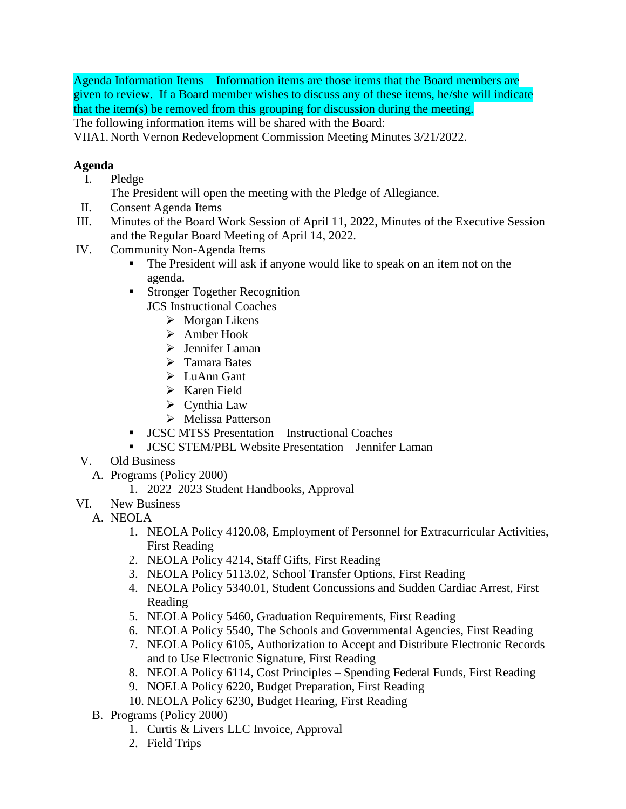Agenda Information Items – Information items are those items that the Board members are given to review. If a Board member wishes to discuss any of these items, he/she will indicate that the item(s) be removed from this grouping for discussion during the meeting.

The following information items will be shared with the Board:

VIIA1. North Vernon Redevelopment Commission Meeting Minutes 3/21/2022.

## **Agenda**

- I. Pledge
	- The President will open the meeting with the Pledge of Allegiance.
- II. Consent Agenda Items
- III. Minutes of the Board Work Session of April 11, 2022, Minutes of the Executive Session and the Regular Board Meeting of April 14, 2022.
- IV. Community Non-Agenda Items
	- The President will ask if anyone would like to speak on an item not on the agenda.
	- **Stronger Together Recognition** JCS Instructional Coaches
		- $\triangleright$  Morgan Likens
		- Amber Hook
		- $\triangleright$  Jennifer Laman
		- > Tamara Bates
		- $\triangleright$  LuAnn Gant
		- $\triangleright$  Karen Field
		- $\triangleright$  Cynthia Law
		- Melissa Patterson
	- JCSC MTSS Presentation Instructional Coaches
	- JCSC STEM/PBL Website Presentation Jennifer Laman
- V. Old Business
	- A. Programs (Policy 2000)
		- 1. 2022–2023 Student Handbooks, Approval
- VI. New Business
	- A. NEOLA
		- 1. NEOLA Policy 4120.08, Employment of Personnel for Extracurricular Activities, First Reading
		- 2. NEOLA Policy 4214, Staff Gifts, First Reading
		- 3. NEOLA Policy 5113.02, School Transfer Options, First Reading
		- 4. NEOLA Policy 5340.01, Student Concussions and Sudden Cardiac Arrest, First Reading
		- 5. NEOLA Policy 5460, Graduation Requirements, First Reading
		- 6. NEOLA Policy 5540, The Schools and Governmental Agencies, First Reading
		- 7. NEOLA Policy 6105, Authorization to Accept and Distribute Electronic Records and to Use Electronic Signature, First Reading
		- 8. NEOLA Policy 6114, Cost Principles Spending Federal Funds, First Reading
		- 9. NOELA Policy 6220, Budget Preparation, First Reading
		- 10. NEOLA Policy 6230, Budget Hearing, First Reading
		- B. Programs (Policy 2000)
			- 1. Curtis & Livers LLC Invoice, Approval
			- 2. Field Trips